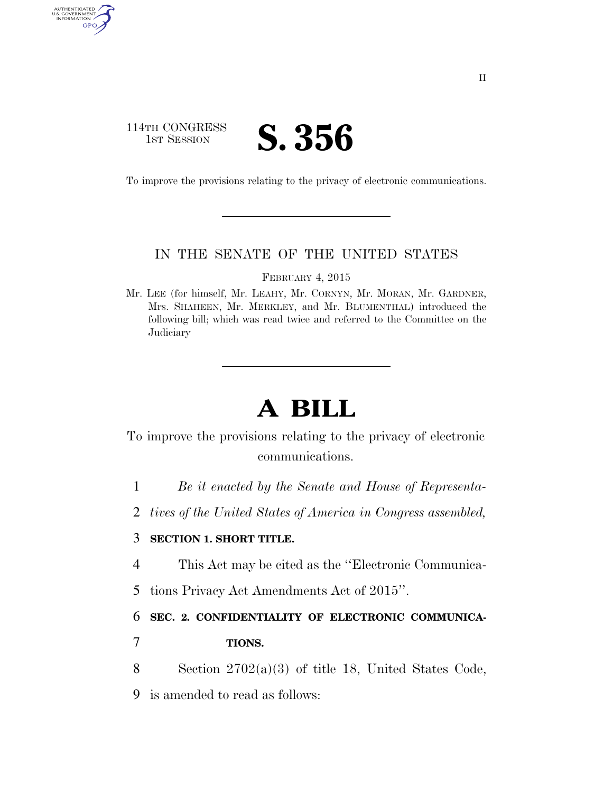### 114TH CONGRESS **1ST SESSION S. 356**

AUTHENTICATED<br>U.S. GOVERNMENT<br>INFORMATION

GPO

To improve the provisions relating to the privacy of electronic communications.

#### IN THE SENATE OF THE UNITED STATES

FEBRUARY 4, 2015

Mr. LEE (for himself, Mr. LEAHY, Mr. CORNYN, Mr. MORAN, Mr. GARDNER, Mrs. SHAHEEN, Mr. MERKLEY, and Mr. BLUMENTHAL) introduced the following bill; which was read twice and referred to the Committee on the **Judiciary** 

# **A BILL**

To improve the provisions relating to the privacy of electronic communications.

- 1 *Be it enacted by the Senate and House of Representa-*
- 2 *tives of the United States of America in Congress assembled,*

#### 3 **SECTION 1. SHORT TITLE.**

- 4 This Act may be cited as the ''Electronic Communica-
- 5 tions Privacy Act Amendments Act of 2015''.

#### 6 **SEC. 2. CONFIDENTIALITY OF ELECTRONIC COMMUNICA-**

- 7 **TIONS.**
- 8 Section 2702(a)(3) of title 18, United States Code,
- 9 is amended to read as follows: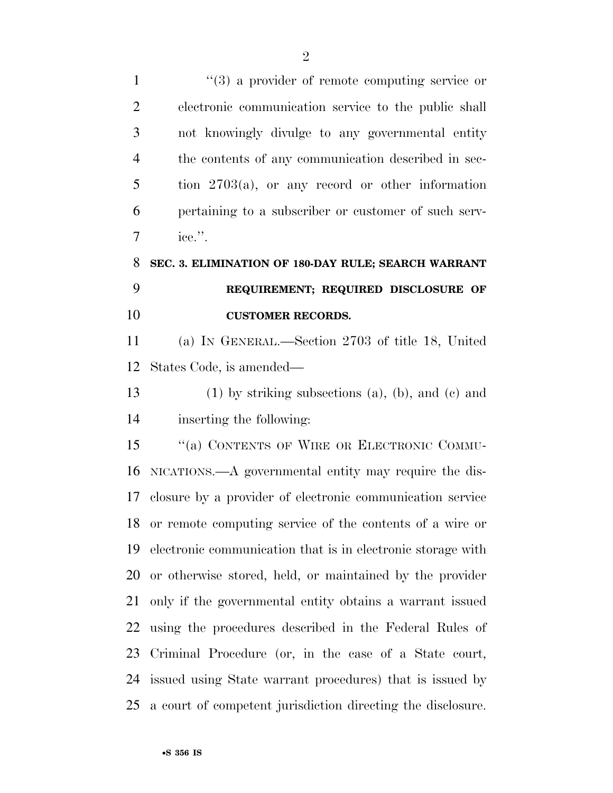| $\mathbf{1}$   | $\lq(3)$ a provider of remote computing service or          |
|----------------|-------------------------------------------------------------|
| $\overline{2}$ | electronic communication service to the public shall        |
| 3              | not knowingly divulge to any governmental entity            |
| $\overline{4}$ | the contents of any communication described in sec-         |
| 5              | tion $2703(a)$ , or any record or other information         |
| 6              | pertaining to a subscriber or customer of such serv-        |
| $\overline{7}$ | ice.".                                                      |
| 8              | SEC. 3. ELIMINATION OF 180-DAY RULE; SEARCH WARRANT         |
| 9              | REQUIREMENT; REQUIRED DISCLOSURE OF                         |
| 10             | <b>CUSTOMER RECORDS.</b>                                    |
| 11             | (a) IN GENERAL.—Section 2703 of title 18, United            |
| 12             | States Code, is amended—                                    |
| 13             | $(1)$ by striking subsections $(a)$ , $(b)$ , and $(c)$ and |
| 14             | inserting the following:                                    |
| 15             | "(a) CONTENTS OF WIRE OR ELECTRONIC COMMU-                  |
| 16             | NICATIONS.—A governmental entity may require the dis-       |
| 17             | closure by a provider of electronic communication service   |
| 18             | or remote computing service of the contents of a wire or    |
| 19             | electronic communication that is in electronic storage with |
| 20             | or otherwise stored, held, or maintained by the provider    |
| 21             | only if the governmental entity obtains a warrant issued    |
| 22             | using the procedures described in the Federal Rules of      |
| 23             | Criminal Procedure (or, in the case of a State court,       |
| 24             | issued using State warrant procedures) that is issued by    |
| 25             | a court of competent jurisdiction directing the disclosure. |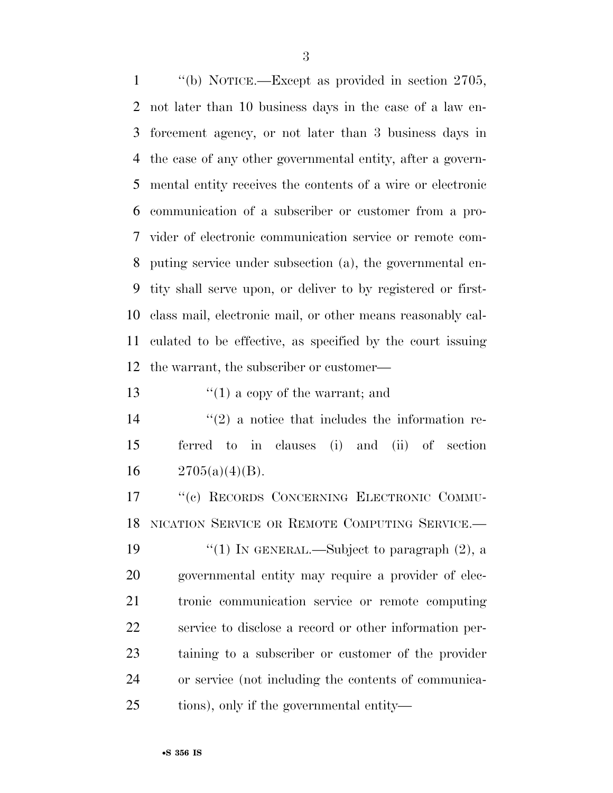''(b) NOTICE.—Except as provided in section 2705, not later than 10 business days in the case of a law en- forcement agency, or not later than 3 business days in the case of any other governmental entity, after a govern- mental entity receives the contents of a wire or electronic communication of a subscriber or customer from a pro- vider of electronic communication service or remote com- puting service under subsection (a), the governmental en- tity shall serve upon, or deliver to by registered or first- class mail, electronic mail, or other means reasonably cal- culated to be effective, as specified by the court issuing the warrant, the subscriber or customer—

13  $\frac{1}{2}$   $\frac{1}{2}$  a copy of the warrant; and

 $\binom{14}{2}$  a notice that includes the information re- ferred to in clauses (i) and (ii) of section 16  $2705(a)(4)(B)$ .

 ''(c) RECORDS CONCERNING ELECTRONIC COMMU-NICATION SERVICE OR REMOTE COMPUTING SERVICE.—

 $\frac{1}{2}$  (1) In GENERAL.—Subject to paragraph (2), a governmental entity may require a provider of elec- tronic communication service or remote computing service to disclose a record or other information per- taining to a subscriber or customer of the provider or service (not including the contents of communica-tions), only if the governmental entity—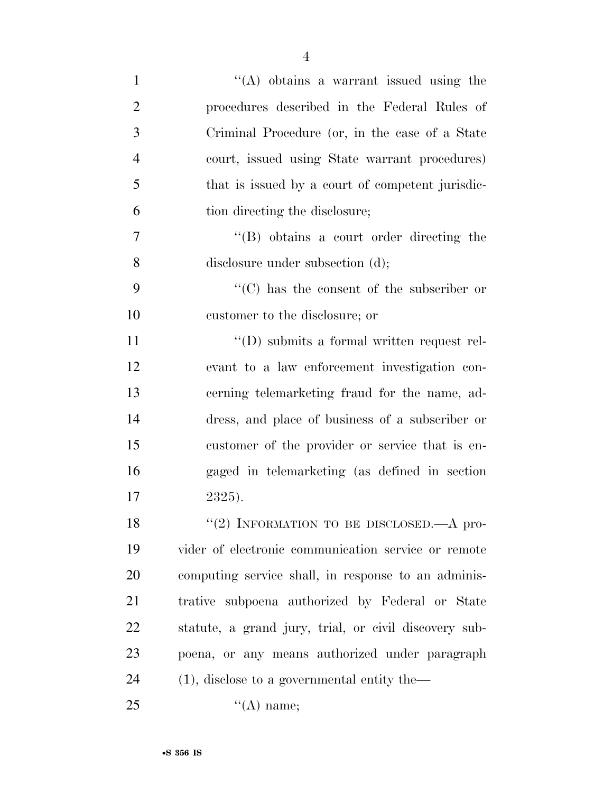| $\mathbf{1}$   | "(A) obtains a warrant issued using the               |
|----------------|-------------------------------------------------------|
| $\overline{2}$ | procedures described in the Federal Rules of          |
| 3              | Criminal Procedure (or, in the case of a State        |
| $\overline{4}$ | court, issued using State warrant procedures)         |
| 5              | that is issued by a court of competent jurisdic-      |
| 6              | tion directing the disclosure;                        |
| 7              | $\lq\lq$ obtains a court order directing the          |
| 8              | disclosure under subsection (d);                      |
| 9              | $\lq\lq$ has the consent of the subscriber or         |
| 10             | customer to the disclosure; or                        |
| <sup>11</sup>  | "(D) submits a formal written request rel-            |
| 12             | evant to a law enforcement investigation con-         |
| 13             | cerning telemarketing fraud for the name, ad-         |
| 14             | dress, and place of business of a subscriber or       |
| 15             | customer of the provider or service that is en-       |
| 16             | gaged in telemarketing (as defined in section         |
| 17             | 2325).                                                |
| 18             | "(2) INFORMATION TO BE DISCLOSED.—A pro-              |
| 19             | vider of electronic communication service or remote   |
| 20             | computing service shall, in response to an adminis-   |
| 21             | trative subpoena authorized by Federal or State       |
| 22             | statute, a grand jury, trial, or civil discovery sub- |
| 23             | poena, or any means authorized under paragraph        |
| 24             | $(1)$ , disclose to a governmental entity the-        |
| 25             | $\lq\lq(A)$ name;                                     |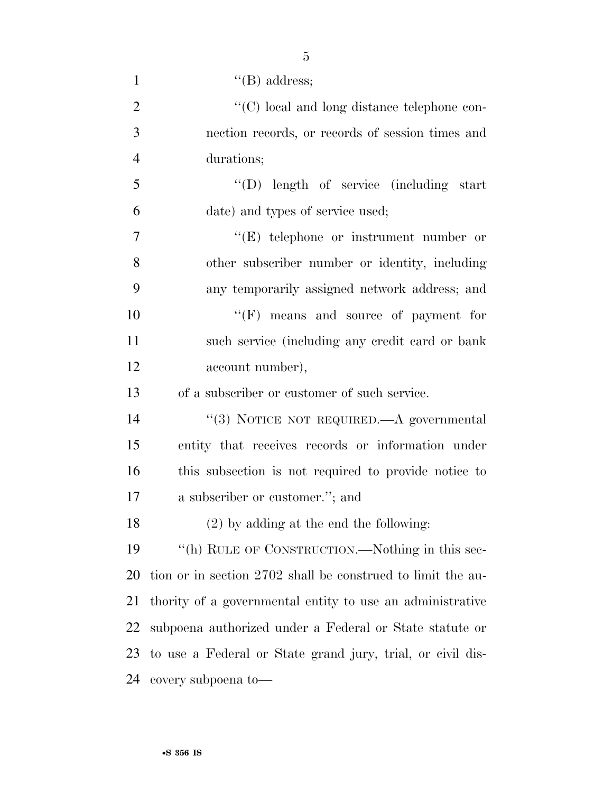| $\mathbf{1}$   | $\lq\lq(B)$ address;                                        |
|----------------|-------------------------------------------------------------|
| $\overline{2}$ | "(C) local and long distance telephone con-                 |
| 3              | nection records, or records of session times and            |
| $\overline{4}$ | durations;                                                  |
| 5              | "(D) length of service (including start                     |
| 6              | date) and types of service used;                            |
| $\overline{7}$ | "(E) telephone or instrument number or                      |
| 8              | other subscriber number or identity, including              |
| 9              | any temporarily assigned network address; and               |
| 10             | "(F) means and source of payment for                        |
| 11             | such service (including any credit card or bank             |
| 12             | account number),                                            |
| 13             | of a subscriber or customer of such service.                |
| 14             | "(3) NOTICE NOT REQUIRED.—A governmental                    |
| 15             | entity that receives records or information under           |
| 16             | this subsection is not required to provide notice to        |
| 17             | a subscriber or customer."; and                             |
| 18             | $(2)$ by adding at the end the following:                   |
| 19             | "(h) RULE OF CONSTRUCTION.—Nothing in this sec-             |
| 20             | tion or in section 2702 shall be construed to limit the au- |
| 21             | thority of a governmental entity to use an administrative   |
| 22             | subpoena authorized under a Federal or State statute or     |
| 23             | to use a Federal or State grand jury, trial, or civil dis-  |
| 24             | covery subpoena to-                                         |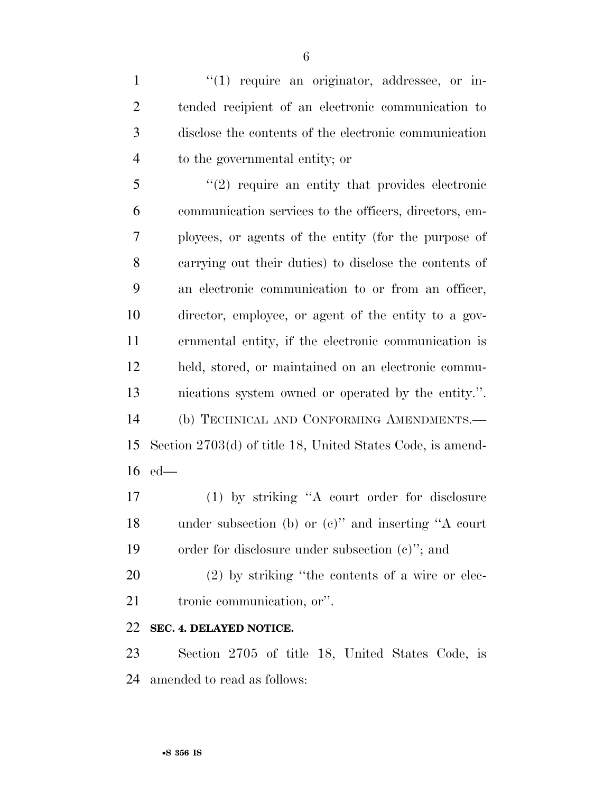$\frac{1}{1}$  require an originator, addressee, or in- tended recipient of an electronic communication to disclose the contents of the electronic communication to the governmental entity; or

 ''(2) require an entity that provides electronic communication services to the officers, directors, em- ployees, or agents of the entity (for the purpose of carrying out their duties) to disclose the contents of an electronic communication to or from an officer, director, employee, or agent of the entity to a gov- ernmental entity, if the electronic communication is held, stored, or maintained on an electronic commu- nications system owned or operated by the entity.''. (b) TECHNICAL AND CONFORMING AMENDMENTS.— Section 2703(d) of title 18, United States Code, is amend-ed—

 (1) by striking ''A court order for disclosure under subsection (b) or (c)'' and inserting ''A court order for disclosure under subsection (c)''; and

 (2) by striking ''the contents of a wire or elec-tronic communication, or''.

#### **SEC. 4. DELAYED NOTICE.**

 Section 2705 of title 18, United States Code, is amended to read as follows: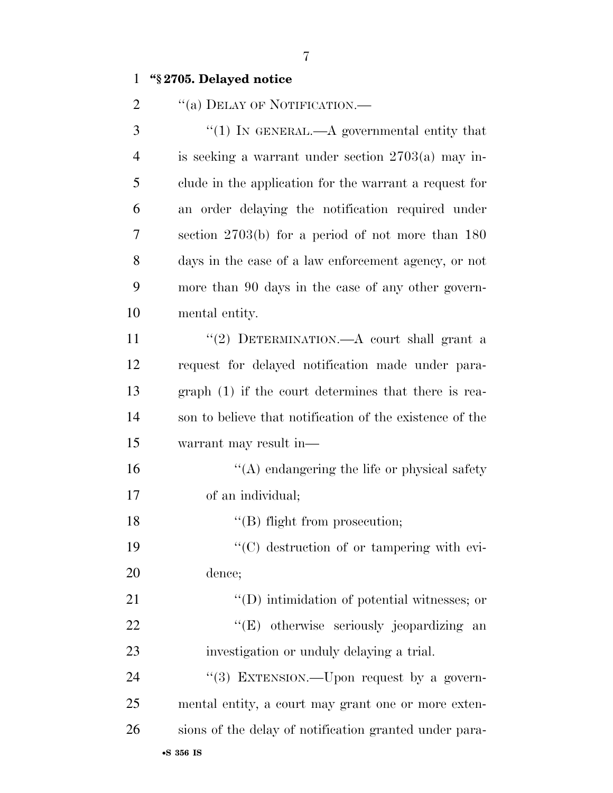#### **''§ 2705. Delayed notice**

2 "(a) DELAY OF NOTIFICATION.—

 ''(1) IN GENERAL.—A governmental entity that is seeking a warrant under section 2703(a) may in- clude in the application for the warrant a request for an order delaying the notification required under section 2703(b) for a period of not more than 180 days in the case of a law enforcement agency, or not more than 90 days in the case of any other govern-mental entity.

11 ''(2) DETERMINATION.—A court shall grant a request for delayed notification made under para- graph (1) if the court determines that there is rea- son to believe that notification of the existence of the warrant may result in—

 ''(A) endangering the life or physical safety of an individual;

18 ''(B) flight from prosecution;

19  $\cdot$  (C) destruction of or tampering with evi-dence;

21  $\langle (D) \rangle$  intimidation of potential witnesses; or 22 "'(E) otherwise seriously jeopardizing an investigation or unduly delaying a trial.

24 "(3) EXTENSION.—Upon request by a govern- mental entity, a court may grant one or more exten-sions of the delay of notification granted under para-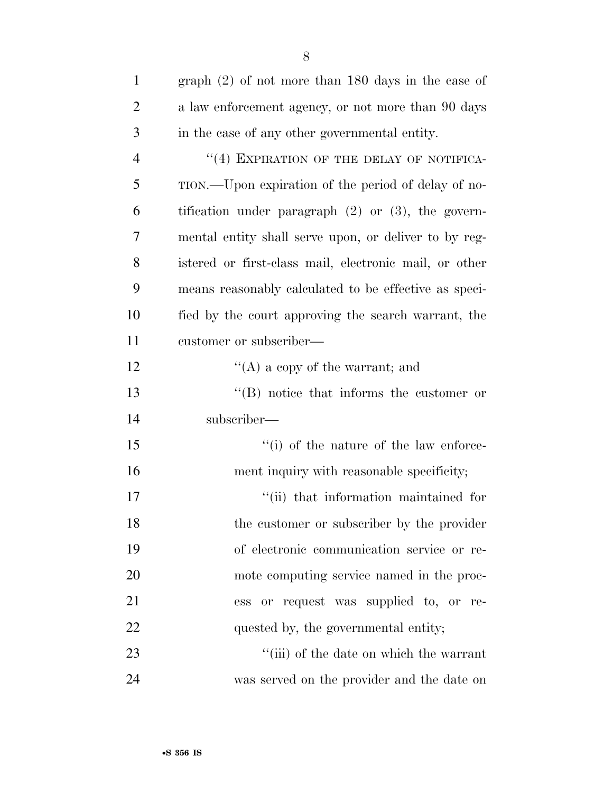| $\mathbf{1}$   | graph $(2)$ of not more than 180 days in the case of    |
|----------------|---------------------------------------------------------|
| $\overline{2}$ | a law enforcement agency, or not more than 90 days      |
| 3              | in the case of any other governmental entity.           |
| $\overline{4}$ | "(4) EXPIRATION OF THE DELAY OF NOTIFICA-               |
| 5              | TION.—Upon expiration of the period of delay of no-     |
| 6              | tification under paragraph $(2)$ or $(3)$ , the govern- |
| 7              | mental entity shall serve upon, or deliver to by reg-   |
| 8              | istered or first-class mail, electronic mail, or other  |
| 9              | means reasonably calculated to be effective as speci-   |
| 10             | fied by the court approving the search warrant, the     |
| 11             | customer or subscriber—                                 |
| 12             | "(A) a copy of the warrant; and                         |
| 13             | $\lq\lq (B)$ notice that informs the customer or        |
| 14             | subscriber—                                             |
| 15             | $\lq\lq$ of the nature of the law enforce-              |
| 16             | ment inquiry with reasonable specificity;               |
| 17             | "(ii) that information maintained for                   |
| 18             | the customer or subscriber by the provider              |
| 19             | of electronic communication service or re-              |
| 20             | mote computing service named in the proc-               |
| 21             | ess or request was supplied to, or re-                  |
| 22             | quested by, the governmental entity;                    |
| 23             | "(iii) of the date on which the warrant                 |
| 24             | was served on the provider and the date on              |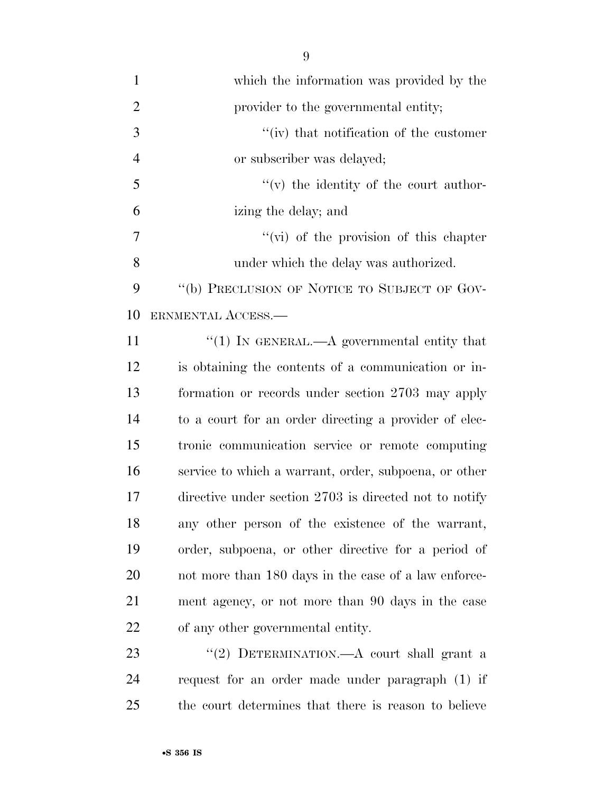| $\mathbf{1}$   | which the information was provided by the              |
|----------------|--------------------------------------------------------|
| $\overline{2}$ | provider to the governmental entity;                   |
| 3              | "(iv) that notification of the customer                |
| $\overline{4}$ | or subscriber was delayed;                             |
| 5              | $f'(v)$ the identity of the court author-              |
| 6              | izing the delay; and                                   |
| 7              | $\lq\lq$ (vi) of the provision of this chapter         |
| 8              | under which the delay was authorized.                  |
| 9              | "(b) PRECLUSION OF NOTICE TO SUBJECT OF GOV-           |
| 10             | ERNMENTAL ACCESS.—                                     |
| 11             | "(1) In GENERAL.—A governmental entity that            |
| 12             | is obtaining the contents of a communication or in-    |
| 13             | formation or records under section 2703 may apply      |
| 14             | to a court for an order directing a provider of elec-  |
| 15             | tronic communication service or remote computing       |
| 16             | service to which a warrant, order, subpoena, or other  |
| 17             | directive under section 2703 is directed not to notify |
| 18             | any other person of the existence of the warrant,      |
| 19             | order, subpoena, or other directive for a period of    |
| 20             | not more than 180 days in the case of a law enforce-   |
| 21             | ment agency, or not more than 90 days in the case      |
| 22             | of any other governmental entity.                      |
| 23             | "(2) DETERMINATION.—A court shall grant a              |
| 24             | request for an order made under paragraph (1) if       |

the court determines that there is reason to believe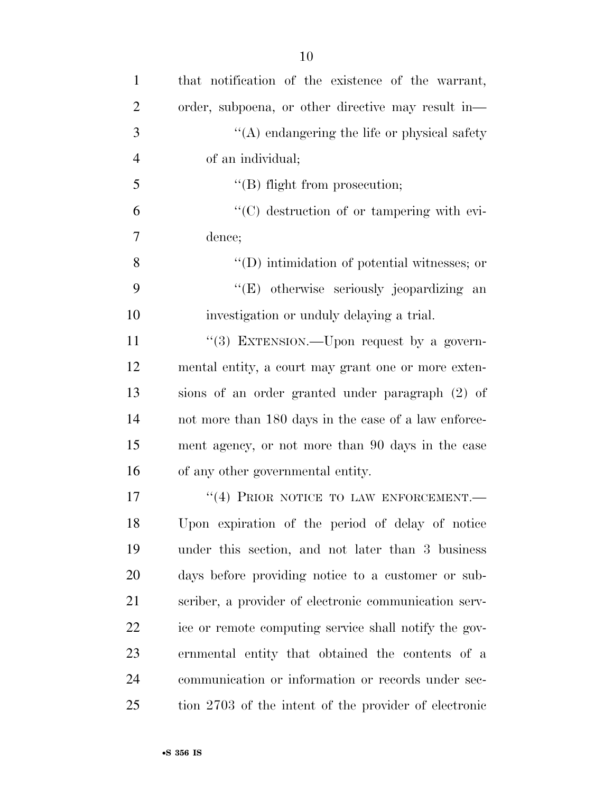| $\mathbf{1}$   | that notification of the existence of the warrant,    |
|----------------|-------------------------------------------------------|
| $\overline{2}$ | order, subpoena, or other directive may result in—    |
| 3              | $\lq\lq$ endangering the life or physical safety      |
| $\overline{4}$ | of an individual;                                     |
| 5              | $\lq\lq$ (B) flight from prosecution;                 |
| 6              | $\lq\lq$ destruction of or tampering with evi-        |
| 7              | dence;                                                |
| 8              | $\lq\lq$ (D) intimidation of potential witnesses; or  |
| 9              | "(E) otherwise seriously jeopardizing an              |
| 10             | investigation or unduly delaying a trial.             |
| 11             | "(3) EXTENSION.—Upon request by a govern-             |
| 12             | mental entity, a court may grant one or more exten-   |
| 13             | sions of an order granted under paragraph (2) of      |
| 14             | not more than 180 days in the case of a law enforce-  |
| 15             | ment agency, or not more than 90 days in the case     |
| 16             | of any other governmental entity.                     |
| 17             | "(4) PRIOR NOTICE TO LAW ENFORCEMENT.                 |
| 18             | Upon expiration of the period of delay of notice      |
| 19             | under this section, and not later than 3 business     |
| 20             | days before providing notice to a customer or sub-    |
| 21             | scriber, a provider of electronic communication serv- |
| 22             | ice or remote computing service shall notify the gov- |
| 23             | ernmental entity that obtained the contents of a      |
| 24             | communication or information or records under sec-    |
| 25             | tion 2703 of the intent of the provider of electronic |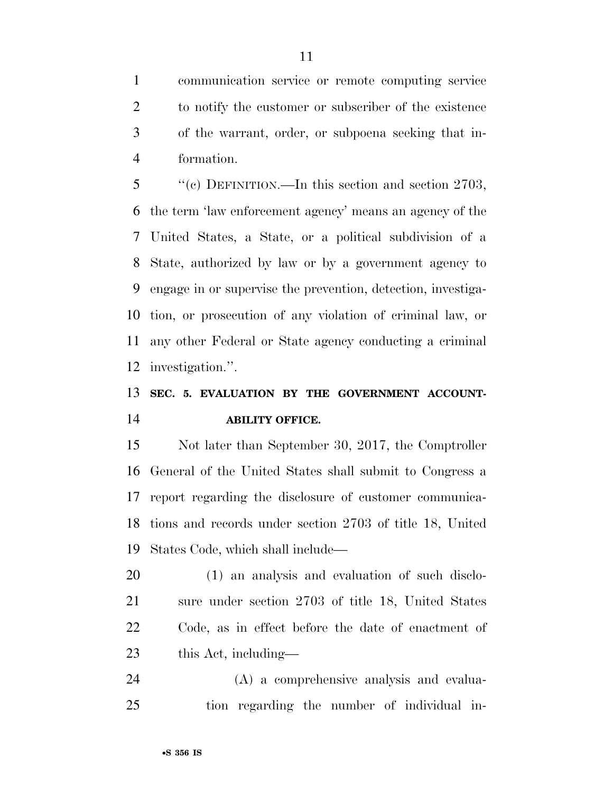communication service or remote computing service to notify the customer or subscriber of the existence of the warrant, order, or subpoena seeking that in-formation.

 ''(c) DEFINITION.—In this section and section 2703, the term 'law enforcement agency' means an agency of the United States, a State, or a political subdivision of a State, authorized by law or by a government agency to engage in or supervise the prevention, detection, investiga- tion, or prosecution of any violation of criminal law, or any other Federal or State agency conducting a criminal investigation.''.

## **SEC. 5. EVALUATION BY THE GOVERNMENT ACCOUNT-ABILITY OFFICE.**

 Not later than September 30, 2017, the Comptroller General of the United States shall submit to Congress a report regarding the disclosure of customer communica- tions and records under section 2703 of title 18, United States Code, which shall include—

 (1) an analysis and evaluation of such disclo- sure under section 2703 of title 18, United States Code, as in effect before the date of enactment of this Act, including—

 (A) a comprehensive analysis and evalua-tion regarding the number of individual in-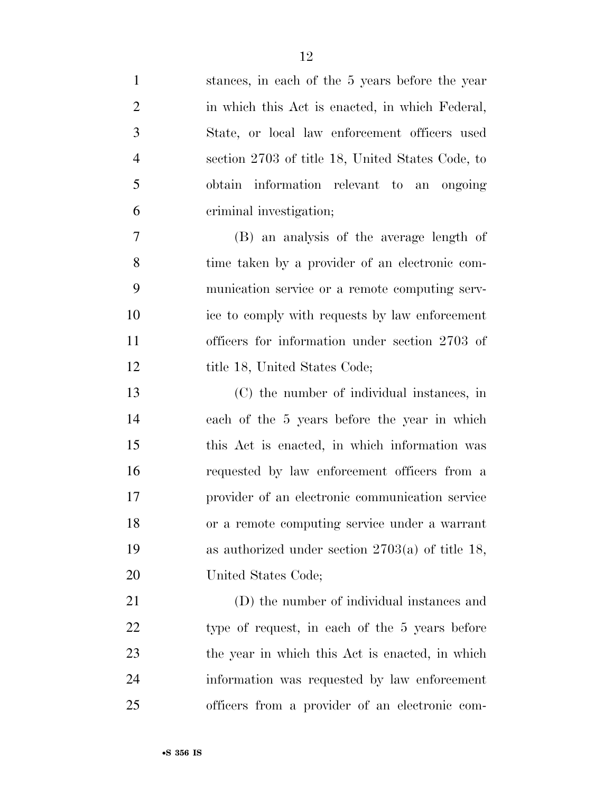| $\mathbf{1}$   | stances, in each of the 5 years before the year    |
|----------------|----------------------------------------------------|
| $\overline{2}$ | in which this Act is enacted, in which Federal,    |
| 3              | State, or local law enforcement officers used      |
| $\overline{4}$ | section 2703 of title 18, United States Code, to   |
| 5              | obtain information relevant to an ongoing          |
| 6              | criminal investigation;                            |
| 7              | (B) an analysis of the average length of           |
| 8              | time taken by a provider of an electronic com-     |
| 9              | munication service or a remote computing serv-     |
| 10             | ice to comply with requests by law enforcement     |
| 11             | officers for information under section 2703 of     |
| 12             | title 18, United States Code;                      |
| 13             | (C) the number of individual instances, in         |
| 14             | each of the 5 years before the year in which       |
| 15             | this Act is enacted, in which information was      |
| 16             | requested by law enforcement officers from a       |
| 17             | provider of an electronic communication service    |
| 18             | or a remote computing service under a warrant      |
| 19             | as authorized under section $2703(a)$ of title 18, |
| <b>20</b>      | United States Code;                                |
| 21             | (D) the number of individual instances and         |
| 22             | type of request, in each of the 5 years before     |
| 23             | the year in which this Act is enacted, in which    |
| 24             | information was requested by law enforcement       |
| 25             | officers from a provider of an electronic com-     |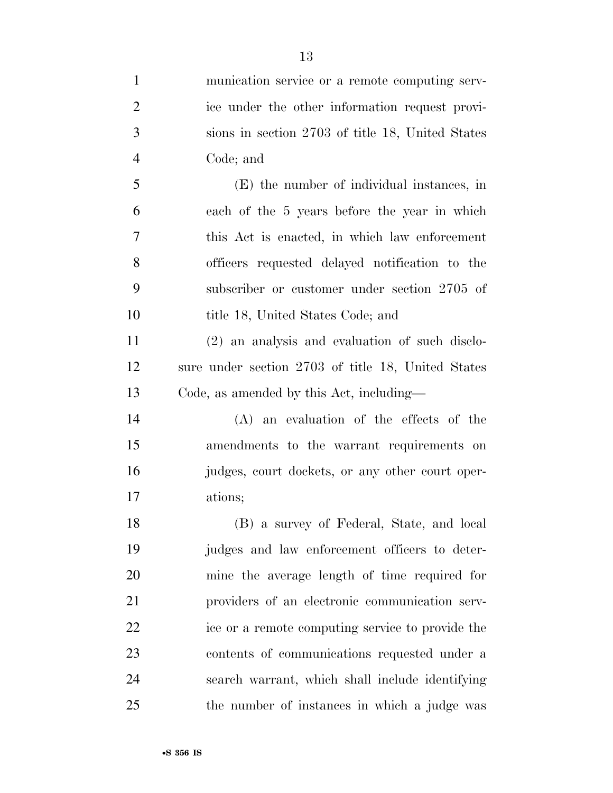| $\mathbf{1}$   | munication service or a remote computing serv-     |
|----------------|----------------------------------------------------|
| $\overline{2}$ | ice under the other information request provi-     |
| 3              | sions in section 2703 of title 18, United States   |
| $\overline{4}$ | Code; and                                          |
| 5              | (E) the number of individual instances, in         |
| 6              | each of the 5 years before the year in which       |
| 7              | this Act is enacted, in which law enforcement      |
| 8              | officers requested delayed notification to the     |
| 9              | subscriber or customer under section 2705 of       |
| 10             | title 18, United States Code; and                  |
| 11             | (2) an analysis and evaluation of such disclo-     |
| 12             | sure under section 2703 of title 18, United States |
| 13             | Code, as amended by this Act, including—           |
| 14             | (A) an evaluation of the effects of the            |
| 15             | amendments to the warrant requirements on          |
| 16             | judges, court dockets, or any other court oper-    |
| 17             | ations;                                            |
| 18             | (B) a survey of Federal, State, and local          |
| 19             | judges and law enforcement officers to deter-      |
| 20             | mine the average length of time required for       |
| 21             | providers of an electronic communication serv-     |
| 22             | ice or a remote computing service to provide the   |
| 23             | contents of communications requested under a       |
| 24             | search warrant, which shall include identifying    |
| 25             | the number of instances in which a judge was       |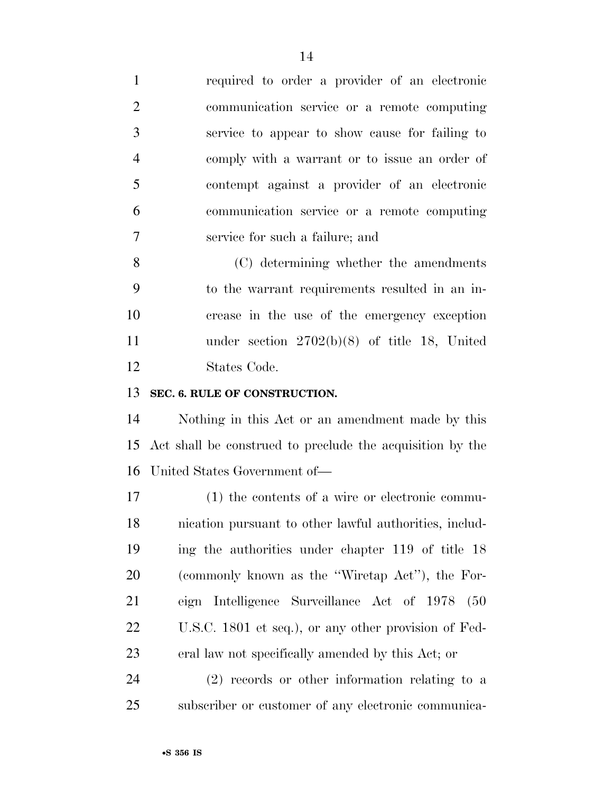required to order a provider of an electronic communication service or a remote computing service to appear to show cause for failing to comply with a warrant or to issue an order of contempt against a provider of an electronic communication service or a remote computing service for such a failure; and

 (C) determining whether the amendments to the warrant requirements resulted in an in- crease in the use of the emergency exception under section 2702(b)(8) of title 18, United States Code.

#### **SEC. 6. RULE OF CONSTRUCTION.**

 Nothing in this Act or an amendment made by this Act shall be construed to preclude the acquisition by the United States Government of—

 (1) the contents of a wire or electronic commu- nication pursuant to other lawful authorities, includ- ing the authorities under chapter 119 of title 18 (commonly known as the ''Wiretap Act''), the For- eign Intelligence Surveillance Act of 1978 (50 U.S.C. 1801 et seq.), or any other provision of Fed-eral law not specifically amended by this Act; or

 (2) records or other information relating to a subscriber or customer of any electronic communica-